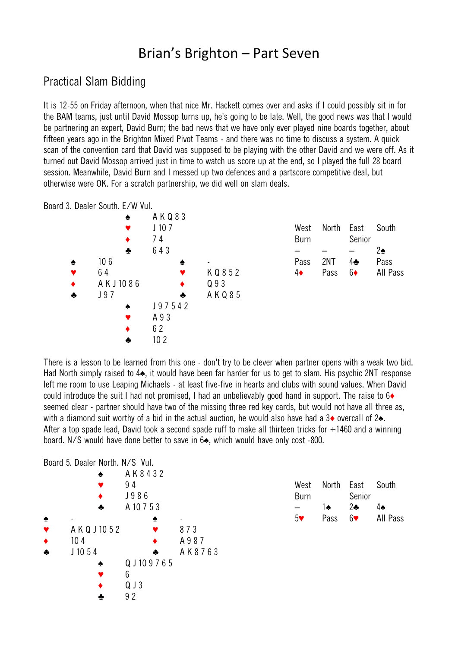## Brian's Brighton – Part Seven

## Practical Slam Bidding

It is 12-55 on Friday afternoon, when that nice Mr. Hackett comes over and asks if I could possibly sit in for the BAM teams, just until David Mossop turns up, he's going to be late. Well, the good news was that I would be partnering an expert, David Burn; the bad news that we have only ever played nine boards together, about fifteen years ago in the Brighton Mixed Pivot Teams - and there was no time to discuss a system. A quick scan of the convention card that David was supposed to be playing with the other David and we were off. As it turned out David Mossop arrived just in time to watch us score up at the end, so I played the full 28 board session. Meanwhile, David Burn and I messed up two defences and a partscore competitive deal, but otherwise were OK. For a scratch partnership, we did well on slam deals.

Board 3. Dealer South. E/W Vul.



There is a lesson to be learned from this one - don't try to be clever when partner opens with a weak two bid. Had North simply raised to 4♠, it would have been far harder for us to get to slam. His psychic 2NT response left me room to use Leaping Michaels - at least five-five in hearts and clubs with sound values. When David could introduce the suit I had not promised, I had an unbelievably good hand in support. The raise to 6♦ seemed clear - partner should have two of the missing three red key cards, but would not have all three as, with a diamond suit worthy of a bid in the actual auction, he would also have had a 3◆ overcall of 2◆. After a top spade lead, David took a second spade ruff to make all thirteen tricks for +1460 and a winning board. N/S would have done better to save in 6♠, which would have only cost -800.

|                      | Board 5. Dealer North. N/S Vul. |   |                |        |
|----------------------|---------------------------------|---|----------------|--------|
|                      |                                 |   | AK8432         |        |
|                      |                                 |   | 94             |        |
|                      |                                 |   | J986           |        |
|                      |                                 | ÷ | A 10 7 5 3     |        |
| ♠                    |                                 |   |                |        |
| $\blacktriangledown$ | A K Q J 10 5 2                  |   |                | 873    |
| $\blacklozenge$      | 10 <sub>4</sub>                 |   |                | A987   |
| $\bullet$            | J1054                           |   | ÷              | AK8763 |
|                      |                                 |   | Q J 10 9 7 6 5 |        |
|                      |                                 |   | 6              |        |
|                      |                                 |   | Q J 3          |        |
|                      |                                 |   | 92             |        |

| West<br>Burn | North | East<br>Senior | South    |
|--------------|-------|----------------|----------|
|              | 1♠    | $2$ s          | 4♠       |
| 5♥           | Pass  | 6♥             | All Pass |